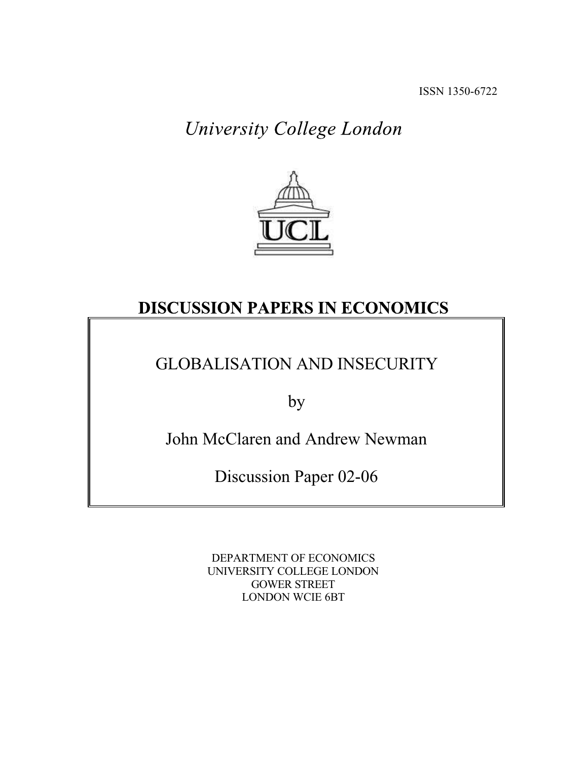# University College London



## **DISCUSSION PAPERS IN ECONOMICS**

## GLOBALISATION AND INSECURITY

by

John McClaren and Andrew Newman

Discussion Paper 02-06

DEPARTMENT OF ECONOMICS UNIVERSITY COLLEGE LONDON GOWER STREET LONDON WCIE 6BT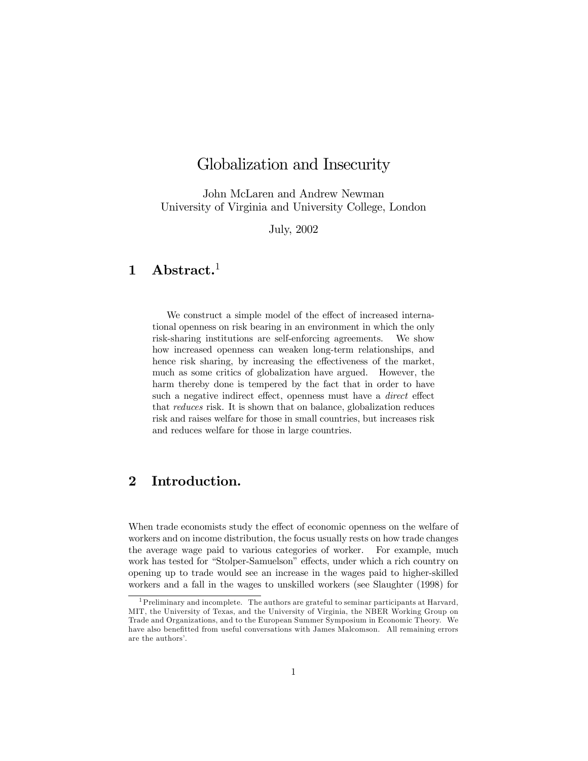## Globalization and Insecurity

John McLaren and Andrew Newman University of Virginia and University College, London

July, 2002

### $1$  Abstract.<sup>1</sup>

We construct a simple model of the effect of increased international openness on risk bearing in an environment in which the only risk-sharing institutions are self-enforcing agreements. We show how increased openness can weaken long-term relationships, and hence risk sharing, by increasing the effectiveness of the market, much as some critics of globalization have argued. However, the harm thereby done is tempered by the fact that in order to have such a negative indirect effect, openness must have a *direct* effect that reduces risk. It is shown that on balance, globalization reduces risk and raises welfare for those in small countries, but increases risk and reduces welfare for those in large countries.

#### 2 Introduction.

When trade economists study the effect of economic openness on the welfare of workers and on income distribution, the focus usually rests on how trade changes the average wage paid to various categories of worker. For example, much work has tested for "Stolper-Samuelson" effects, under which a rich country on opening up to trade would see an increase in the wages paid to higher-skilled workers and a fall in the wages to unskilled workers (see Slaughter (1998) for

<sup>1</sup>Preliminary and incomplete. The authors are grateful to seminar participants at Harvard, MIT, the University of Texas, and the University of Virginia, the NBER Working Group on Trade and Organizations, and to the European Summer Symposium in Economic Theory. We have also benefitted from useful conversations with James Malcomson. All remaining errors are the authors'.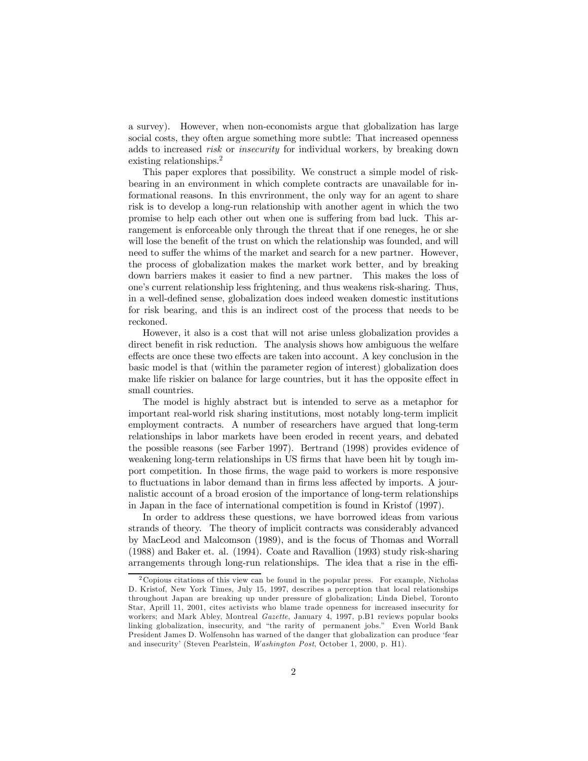a survey). However, when non-economists argue that globalization has large social costs, they often argue something more subtle: That increased openness adds to increased risk or insecurity for individual workers, by breaking down existing relationships. 2

This paper explores that possibility. We construct a simple model of riskbearing in an environment in which complete contracts are unavailable for informational reasons. In this envrironment, the only way for an agent to share risk is to develop a long-run relationship with another agent in which the two promise to help each other out when one is suffering from bad luck. This arrangement is enforceable only through the threat that if one reneges, he or she will lose the benefit of the trust on which the relationship was founded, and will need to suffer the whims of the market and search for a new partner. However, the process of globalization makes the market work better, and by breaking down barriers makes it easier to find a new partner. This makes the loss of oneís current relationship less frightening, and thus weakens risk-sharing. Thus, in a well-deÖned sense, globalization does indeed weaken domestic institutions for risk bearing, and this is an indirect cost of the process that needs to be reckoned.

However, it also is a cost that will not arise unless globalization provides a direct benefit in risk reduction. The analysis shows how ambiguous the welfare effects are once these two effects are taken into account. A key conclusion in the basic model is that (within the parameter region of interest) globalization does make life riskier on balance for large countries, but it has the opposite effect in small countries.

The model is highly abstract but is intended to serve as a metaphor for important real-world risk sharing institutions, most notably long-term implicit employment contracts. A number of researchers have argued that long-term relationships in labor markets have been eroded in recent years, and debated the possible reasons (see Farber 1997). Bertrand (1998) provides evidence of weakening long-term relationships in US firms that have been hit by tough import competition. In those firms, the wage paid to workers is more responsive to fluctuations in labor demand than in firms less affected by imports. A journalistic account of a broad erosion of the importance of long-term relationships in Japan in the face of international competition is found in Kristof (1997).

In order to address these questions, we have borrowed ideas from various strands of theory. The theory of implicit contracts was considerably advanced by MacLeod and Malcomson (1989), and is the focus of Thomas and Worrall (1988) and Baker et. al. (1994). Coate and Ravallion (1993) study risk-sharing arrangements through long-run relationships. The idea that a rise in the effi-

<sup>2</sup> Copious citations of this view can be found in the popular press. For example, Nicholas D. Kristof, New York Times, July 15, 1997, describes a perception that local relationships throughout Japan are breaking up under pressure of globalization; Linda Diebel, Toronto Star, Aprill 11, 2001, cites activists who blame trade openness for increased insecurity for workers; and Mark Abley, Montreal Gazette, January 4, 1997, p.B1 reviews popular books linking globalization, insecurity, and "the rarity of permanent jobs." Even World Bank President James D. Wolfensohn has warned of the danger that globalization can produce 'fear and insecurity' (Steven Pearlstein, Washington Post, October 1, 2000, p. H1).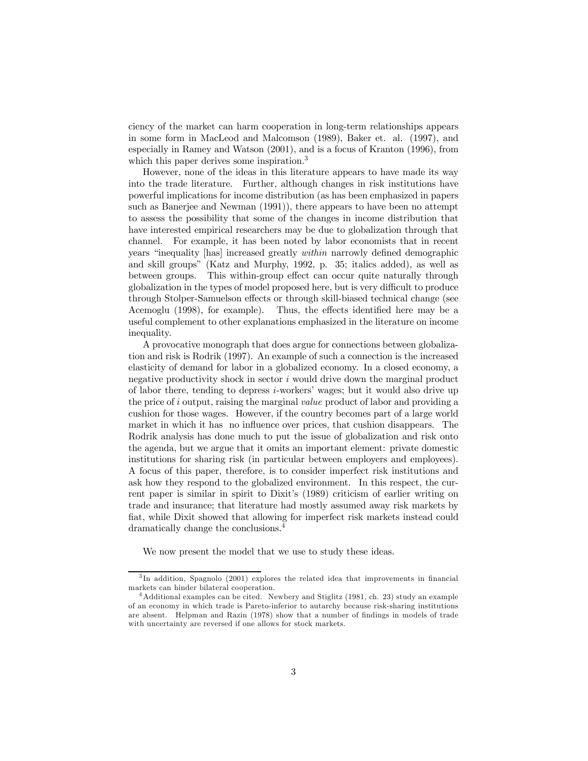ciency of the market can harm cooperation in long-term relationships appears in some form in MacLeod and Malcomson (1989), Baker et. al. (1997), and especially in Ramey and Watson (2001), and is a focus of Kranton (1996), from which this paper derives some inspiration.<sup>3</sup>

However, none of the ideas in this literature appears to have made its way into the trade literature. Further, although changes in risk institutions have powerful implications for income distribution (as has been emphasized in papers such as Banerjee and Newman (1991)), there appears to have been no attempt to assess the possibility that some of the changes in income distribution that have interested empirical researchers may be due to globalization through that channel. For example, it has been noted by labor economists that in recent years "inequality [has] increased greatly *within* narrowly defined demographic and skill groupsî (Katz and Murphy, 1992, p. 35; italics added), as well as between groups. This within-group effect can occur quite naturally through globalization in the types of model proposed here, but is very difficult to produce through Stolper-Samuelson effects or through skill-biased technical change (see Acemoglu (1998), for example). Thus, the effects identified here may be a useful complement to other explanations emphasized in the literature on income inequality.

A provocative monograph that does argue for connections between globalization and risk is Rodrik (1997). An example of such a connection is the increased elasticity of demand for labor in a globalized economy. In a closed economy, a negative productivity shock in sector  $i$  would drive down the marginal product of labor there, tending to depress  $i$ -workers' wages; but it would also drive up the price of i output, raising the marginal value product of labor and providing a cushion for those wages. However, if the country becomes part of a large world market in which it has no influence over prices, that cushion disappears. The Rodrik analysis has done much to put the issue of globalization and risk onto the agenda, but we argue that it omits an important element: private domestic institutions for sharing risk (in particular between employers and employees). A focus of this paper, therefore, is to consider imperfect risk institutions and ask how they respond to the globalized environment. In this respect, the current paper is similar in spirit to Dixit's (1989) criticism of earlier writing on trade and insurance; that literature had mostly assumed away risk markets by fiat, while Dixit showed that allowing for imperfect risk markets instead could dramatically change the conclusions. 4

We now present the model that we use to study these ideas.

<sup>&</sup>lt;sup>3</sup>In addition, Spagnolo (2001) explores the related idea that improvements in financial markets can hinder bilateral cooperation.

<sup>&</sup>lt;sup>4</sup>Additional examples can be cited. Newbery and Stiglitz (1981, ch. 23) study an example of an economy in which trade is Pareto-inferior to autarchy because risk-sharing institutions are absent. Helpman and Razin (1978) show that a number of Öndings in models of trade with uncertainty are reversed if one allows for stock markets.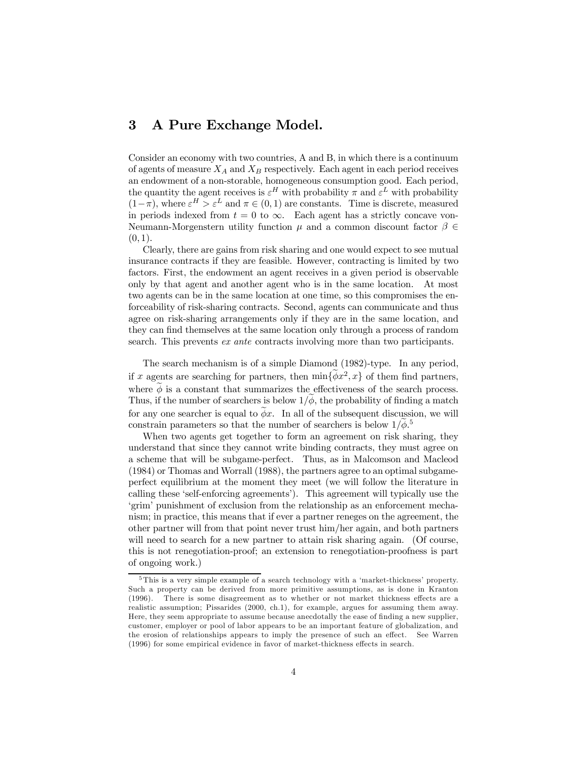#### 3 A Pure Exchange Model.

Consider an economy with two countries, A and B, in which there is a continuum of agents of measure  $X_A$  and  $X_B$  respectively. Each agent in each period receives an endowment of a non-storable, homogeneous consumption good. Each period, the quantity the agent receives is  $\varepsilon^H$  with probability  $\pi$  and  $\varepsilon^L$  with probability  $(1-\pi)$ , where  $\varepsilon^H > \varepsilon^L$  and  $\pi \in (0,1)$  are constants. Time is discrete, measured in periods indexed from  $t = 0$  to  $\infty$ . Each agent has a strictly concave von-Neumann-Morgenstern utility function  $\mu$  and a common discount factor  $\beta \in$  $(0, 1)$ .

Clearly, there are gains from risk sharing and one would expect to see mutual insurance contracts if they are feasible. However, contracting is limited by two factors. First, the endowment an agent receives in a given period is observable only by that agent and another agent who is in the same location. At most two agents can be in the same location at one time, so this compromises the enforceability of risk-sharing contracts. Second, agents can communicate and thus agree on risk-sharing arrangements only if they are in the same location, and they can find themselves at the same location only through a process of random search. This prevents ex ante contracts involving more than two participants.

The search mechanism is of a simple Diamond (1982)-type. In any period, if x agents are searching for partners, then  $\min\{\phi x^2, x\}$  of them find partners, where  $\phi$  is a constant that summarizes the effectiveness of the search process. Thus, if the number of searchers is below  $1/\phi$ , the probability of finding a match for any one searcher is equal to  $\phi x$ . In all of the subsequent discussion, we will constrain parameters so that the number of searchers is below  $1/\dot{\phi}$ .<sup>5</sup>

When two agents get together to form an agreement on risk sharing, they understand that since they cannot write binding contracts, they must agree on a scheme that will be subgame-perfect. Thus, as in Malcomson and Macleod (1984) or Thomas and Worrall (1988), the partners agree to an optimal subgameperfect equilibrium at the moment they meet (we will follow the literature in calling these ëself-enforcing agreementsí). This agreement will typically use the ëgrimí punishment of exclusion from the relationship as an enforcement mechanism; in practice, this means that if ever a partner reneges on the agreement, the other partner will from that point never trust him/her again, and both partners will need to search for a new partner to attain risk sharing again. (Of course, this is not renegotiation-proof; an extension to renegotiation-proofness is part of ongoing work.)

 $5$ This is a very simple example of a search technology with a 'market-thickness' property. Such a property can be derived from more primitive assumptions, as is done in Kranton (1996). There is some disagreement as to whether or not market thickness effects are a realistic assumption; Pissarides (2000, ch.1), for example, argues for assuming them away. Here, they seem appropriate to assume because anecdotally the ease of finding a new supplier, customer, employer or pool of labor appears to be an important feature of globalization, and the erosion of relationships appears to imply the presence of such an effect. See Warren  $(1996)$  for some empirical evidence in favor of market-thickness effects in search.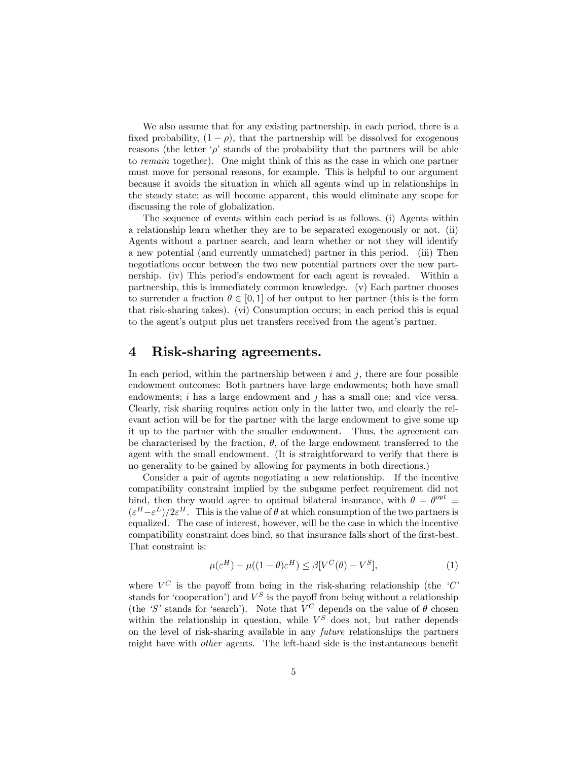We also assume that for any existing partnership, in each period, there is a fixed probability,  $(1 - \rho)$ , that the partnership will be dissolved for exogenous reasons (the letter  $\varphi$  stands of the probability that the partners will be able to remain together). One might think of this as the case in which one partner must move for personal reasons, for example. This is helpful to our argument because it avoids the situation in which all agents wind up in relationships in the steady state; as will become apparent, this would eliminate any scope for discussing the role of globalization.

The sequence of events within each period is as follows. (i) Agents within a relationship learn whether they are to be separated exogenously or not. (ii) Agents without a partner search, and learn whether or not they will identify a new potential (and currently unmatched) partner in this period. (iii) Then negotiations occur between the two new potential partners over the new partnership. (iv) This period's endowment for each agent is revealed. Within a partnership, this is immediately common knowledge. (v) Each partner chooses to surrender a fraction  $\theta \in [0, 1]$  of her output to her partner (this is the form that risk-sharing takes). (vi) Consumption occurs; in each period this is equal to the agent's output plus net transfers received from the agent's partner.

#### 4 Risk-sharing agreements.

In each period, within the partnership between  $i$  and  $j$ , there are four possible endowment outcomes: Both partners have large endowments; both have small endowments;  $i$  has a large endowment and  $j$  has a small one; and vice versa. Clearly, risk sharing requires action only in the latter two, and clearly the relevant action will be for the partner with the large endowment to give some up it up to the partner with the smaller endowment. Thus, the agreement can be characterised by the fraction,  $\theta$ , of the large endowment transferred to the agent with the small endowment. (It is straightforward to verify that there is no generality to be gained by allowing for payments in both directions.)

Consider a pair of agents negotiating a new relationship. If the incentive compatibility constraint implied by the subgame perfect requirement did not bind, then they would agree to optimal bilateral insurance, with  $\theta = \theta^{opt} \equiv$  $(\varepsilon^H - \varepsilon^L)/2\varepsilon^H$ . This is the value of  $\theta$  at which consumption of the two partners is equalized. The case of interest, however, will be the case in which the incentive compatibility constraint does bind, so that insurance falls short of the first-best. That constraint is:

$$
\mu(\varepsilon^H) - \mu((1 - \theta)\varepsilon^H) \le \beta[V^C(\theta) - V^S],\tag{1}
$$

where  $V^C$  is the payoff from being in the risk-sharing relationship (the  $C^i$ stands for 'cooperation') and  $V^S$  is the payoff from being without a relationship (the 'S' stands for 'search'). Note that  $V^C$  depends on the value of  $\theta$  chosen within the relationship in question, while  $V^S$  does not, but rather depends on the level of risk-sharing available in any future relationships the partners might have with *other* agents. The left-hand side is the instantaneous benefit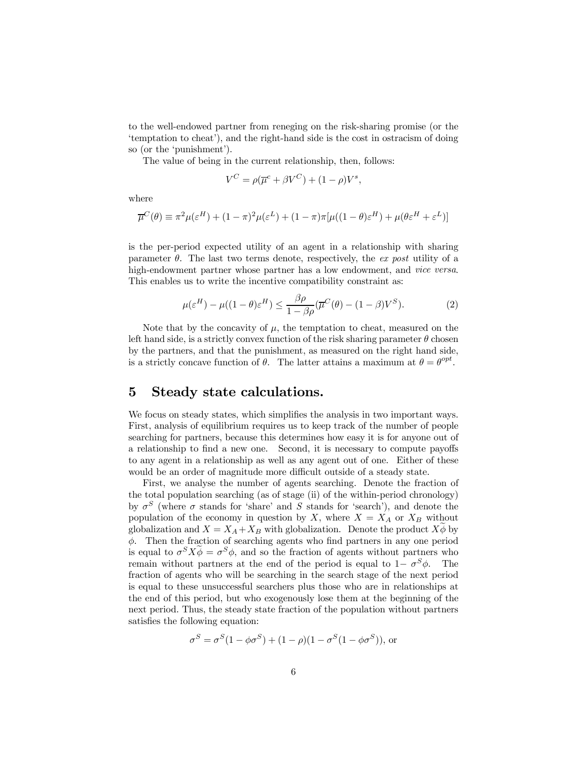to the well-endowed partner from reneging on the risk-sharing promise (or the temptation to cheat'), and the right-hand side is the cost in ostracism of doing so (or the 'punishment').

The value of being in the current relationship, then, follows:

$$
V^C = \rho(\overline{\mu}^c + \beta V^C) + (1 - \rho)V^s,
$$

where

$$
\overline{\mu}^C(\theta) \equiv \pi^2 \mu (\varepsilon^H) + (1 - \pi)^2 \mu (\varepsilon^L) + (1 - \pi) \pi [\mu((1 - \theta)\varepsilon^H) + \mu(\theta \varepsilon^H + \varepsilon^L)]
$$

is the per-period expected utility of an agent in a relationship with sharing parameter  $\theta$ . The last two terms denote, respectively, the ex post utility of a high-endowment partner whose partner has a low endowment, and vice versa. This enables us to write the incentive compatibility constraint as:

$$
\mu(\varepsilon^H) - \mu((1-\theta)\varepsilon^H) \le \frac{\beta \rho}{1-\beta \rho} (\overline{\mu}^C(\theta) - (1-\beta)V^S). \tag{2}
$$

Note that by the concavity of  $\mu$ , the temptation to cheat, measured on the left hand side, is a strictly convex function of the risk sharing parameter  $\theta$  chosen by the partners, and that the punishment, as measured on the right hand side, is a strictly concave function of  $\theta$ . The latter attains a maximum at  $\theta = \theta^{opt}$ .

#### 5 Steady state calculations.

We focus on steady states, which simplifies the analysis in two important ways. First, analysis of equilibrium requires us to keep track of the number of people searching for partners, because this determines how easy it is for anyone out of a relationship to find a new one. Second, it is necessary to compute payoffs to any agent in a relationship as well as any agent out of one. Either of these would be an order of magnitude more difficult outside of a steady state.

First, we analyse the number of agents searching. Denote the fraction of the total population searching (as of stage (ii) of the within-period chronology) by  $\sigma^S$  (where  $\sigma$  stands for 'share' and S stands for 'search'), and denote the population of the economy in question by X, where  $X = X_A$  or  $X_B$  without globalization and  $X = X_A + X_B$  with globalization. Denote the product  $X\phi$  by  $\phi$ . Then the fraction of searching agents who find partners in any one period is equal to  $\sigma^S X \phi = \sigma^S \phi$ , and so the fraction of agents without partners who remain without partners at the end of the period is equal to  $1-\sigma^S\phi$ . The fraction of agents who will be searching in the search stage of the next period is equal to these unsuccessful searchers plus those who are in relationships at the end of this period, but who exogenously lose them at the beginning of the next period. Thus, the steady state fraction of the population without partners satisfies the following equation:

$$
\sigma^S = \sigma^S (1 - \phi \sigma^S) + (1 - \rho)(1 - \sigma^S (1 - \phi \sigma^S)),
$$
 or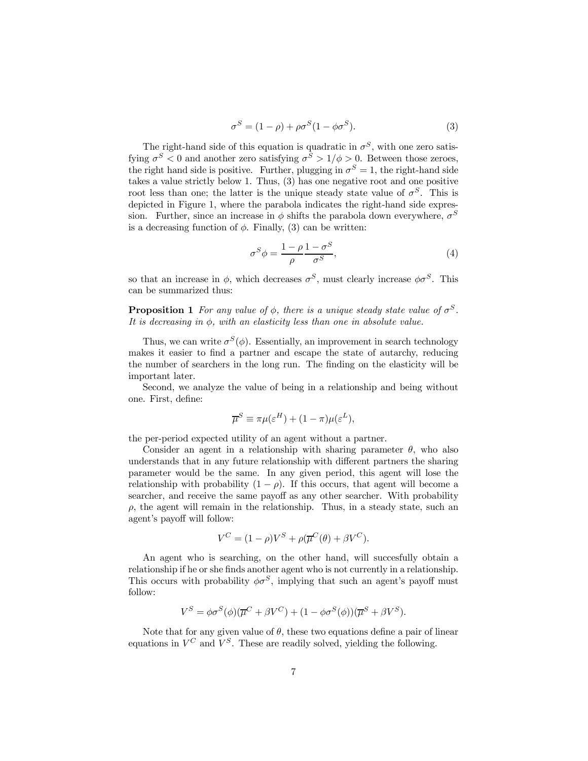$$
\sigma^S = (1 - \rho) + \rho \sigma^S (1 - \phi \sigma^S). \tag{3}
$$

The right-hand side of this equation is quadratic in  $\sigma^S$ , with one zero satisfying  $\sigma^S < 0$  and another zero satisfying  $\sigma^S > 1/\phi > 0$ . Between those zeroes, the right hand side is positive. Further, plugging in  $\sigma^S = 1$ , the right-hand side takes a value strictly below 1. Thus, (3) has one negative root and one positive root less than one; the latter is the unique steady state value of  $\sigma^S$ . This is depicted in Figure 1, where the parabola indicates the right-hand side expression. Further, since an increase in  $\phi$  shifts the parabola down everywhere,  $\sigma^S$ is a decreasing function of  $\phi$ . Finally, (3) can be written:

$$
\sigma^S \phi = \frac{1 - \rho}{\rho} \frac{1 - \sigma^S}{\sigma^S},\tag{4}
$$

so that an increase in  $\phi$ , which decreases  $\sigma^S$ , must clearly increase  $\phi \sigma^S$ . This can be summarized thus:

**Proposition 1** For any value of  $\phi$ , there is a unique steady state value of  $\sigma^S$ . It is decreasing in  $\phi$ , with an elasticity less than one in absolute value.

Thus, we can write  $\sigma^S(\phi)$ . Essentially, an improvement in search technology makes it easier to find a partner and escape the state of autarchy, reducing the number of searchers in the long run. The finding on the elasticity will be important later.

Second, we analyze the value of being in a relationship and being without one. First, define:

$$
\overline{\mu}^S \equiv \pi \mu (\varepsilon^H) + (1 - \pi) \mu (\varepsilon^L),
$$

the per-period expected utility of an agent without a partner.

Consider an agent in a relationship with sharing parameter  $\theta$ , who also understands that in any future relationship with different partners the sharing parameter would be the same. In any given period, this agent will lose the relationship with probability  $(1 - \rho)$ . If this occurs, that agent will become a searcher, and receive the same payoff as any other searcher. With probability  $\rho$ , the agent will remain in the relationship. Thus, in a steady state, such an agent's payoff will follow:

$$
V^C = (1 - \rho)V^S + \rho(\overline{\mu}^C(\theta) + \beta V^C).
$$

An agent who is searching, on the other hand, will succesfully obtain a relationship if he or she finds another agent who is not currently in a relationship. This occurs with probability  $\phi \sigma^S$ , implying that such an agent's payoff must follow:

$$
V^{S} = \phi \sigma^{S}(\phi) (\overline{\mu}^{C} + \beta V^{C}) + (1 - \phi \sigma^{S}(\phi))(\overline{\mu}^{S} + \beta V^{S}).
$$

Note that for any given value of  $\theta$ , these two equations define a pair of linear equations in  $V^C$  and  $V^S$ . These are readily solved, yielding the following.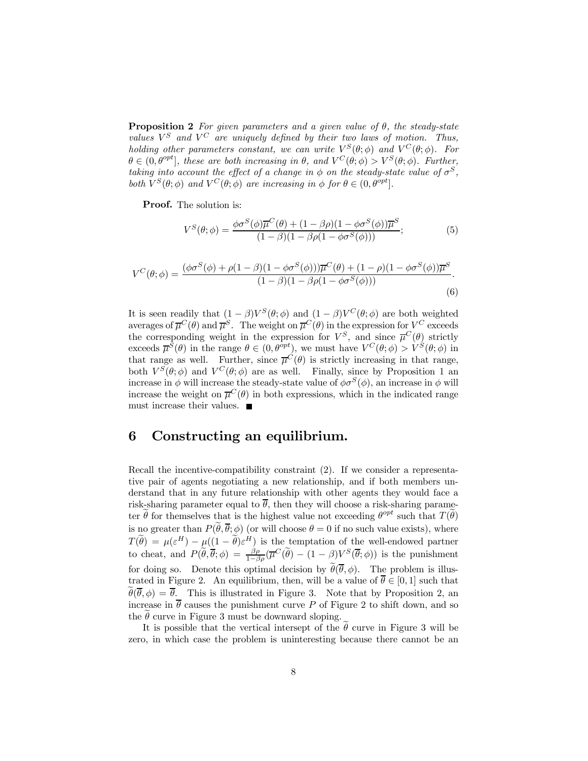**Proposition 2** For given parameters and a given value of  $\theta$ , the steady-state values  $V^S$  and  $V^C$  are uniquely defined by their two laws of motion. Thus, holding other parameters constant, we can write  $V^S(\theta;\phi)$  and  $V^C(\theta;\phi)$ . For  $\theta \in (0, \theta^{opt}]$ , these are both increasing in  $\theta$ , and  $V^{C}(\theta; \phi) > V^{S}(\theta; \phi)$ . Further, taking into account the effect of a change in  $\phi$  on the steady-state value of  $\sigma^S$ , both  $V^S(\theta; \phi)$  and  $V^C(\theta; \phi)$  are increasing in  $\phi$  for  $\theta \in (0, \theta^{opt}]$ .

Proof. The solution is:

$$
V^S(\theta; \phi) = \frac{\phi \sigma^S(\phi) \overline{\mu}^C(\theta) + (1 - \beta \rho)(1 - \phi \sigma^S(\phi)) \overline{\mu}^S}{(1 - \beta)(1 - \beta \rho(1 - \phi \sigma^S(\phi)))};
$$
(5)

$$
V^C(\theta;\phi) = \frac{(\phi\sigma^S(\phi) + \rho(1-\beta)(1-\phi\sigma^S(\phi)))\overline{\mu}^C(\theta) + (1-\rho)(1-\phi\sigma^S(\phi))\overline{\mu}^S}{(1-\beta)(1-\beta\rho(1-\phi\sigma^S(\phi)))}.
$$
\n(6)

It is seen readily that  $(1 - \beta)V^{S}(\theta; \phi)$  and  $(1 - \beta)V^{C}(\theta; \phi)$  are both weighted averages of  $\overline{\mu}^C(\theta)$  and  $\overline{\mu}^S$ . The weight on  $\overline{\mu}^C(\theta)$  in the expression for  $V^C$  exceeds the corresponding weight in the expression for  $V^S$ , and since  $\overline{\mu}^C(\theta)$  strictly exceeds  $\overline{\mu}^{\tilde{S}}(\theta)$  in the range  $\theta \in (0, \theta^{opt})$ , we must have  $V^C(\theta; \phi) > V^{\tilde{S}}(\theta; \phi)$  in that range as well. Further, since  $\overline{\mu}^C(\theta)$  is strictly increasing in that range, both  $V^S(\theta; \phi)$  and  $V^C(\theta; \phi)$  are as well. Finally, since by Proposition 1 an increase in  $\phi$  will increase the steady-state value of  $\phi \sigma^S(\phi)$ , an increase in  $\phi$  will increase the weight on  $\overline{\mu}^C(\theta)$  in both expressions, which in the indicated range must increase their values.

#### 6 Constructing an equilibrium.

Recall the incentive-compatibility constraint (2). If we consider a representative pair of agents negotiating a new relationship, and if both members understand that in any future relationship with other agents they would face a risk-sharing parameter equal to  $\overline{\theta}$ , then they will choose a risk-sharing parameter  $\widetilde{\theta}$  for themselves that is the highest value not exceeding  $\theta^{opt}$  such that  $T(\widetilde{\theta})$ is no greater than  $P(\tilde{\theta}, \overline{\theta}; \phi)$  (or will choose  $\theta = 0$  if no such value exists), where  $T(\hat{\theta}) = \mu(\varepsilon^H) - \mu((1-\hat{\theta})\varepsilon^H)$  is the temptation of the well-endowed partner to cheat, and  $P(\tilde{\theta}, \overline{\theta}; \phi) = \frac{\beta \rho}{1 - \beta \rho} (\overline{\mu}^C(\tilde{\theta}) - (1 - \beta)V^S(\overline{\theta}; \phi))$  is the punishment for doing so. Denote this optimal decision by  $\tilde{\theta}(\bar{\theta}, \phi)$ . The problem is illustrated in Figure 2. An equilibrium, then, will be a value of  $\overline{\theta} \in [0, 1]$  such that  $\widetilde{\theta}(\overline{\theta},\phi) = \overline{\theta}$ . This is illustrated in Figure 3. Note that by Proposition 2, an increase in  $\overline{\theta}$  causes the punishment curve P of Figure 2 to shift down, and so the  $\tilde{\theta}$  curve in Figure 3 must be downward sloping.

It is possible that the vertical intersept of the  $\theta$  curve in Figure 3 will be zero, in which case the problem is uninteresting because there cannot be an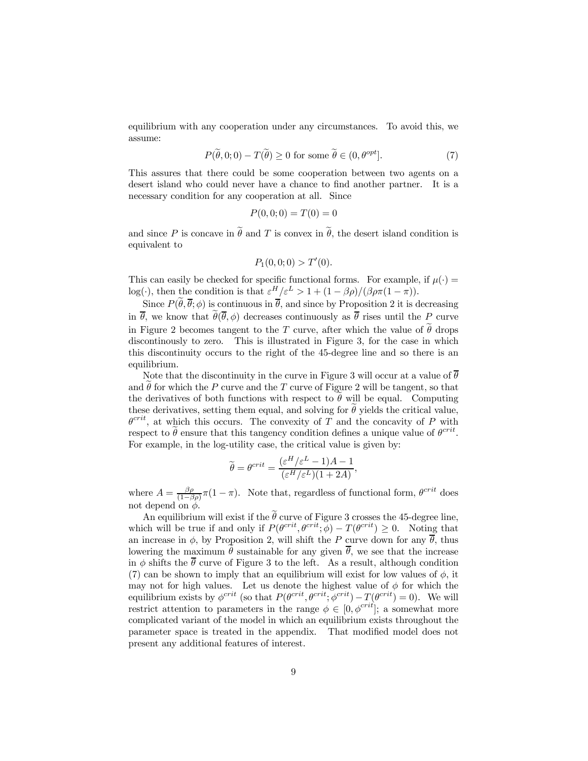equilibrium with any cooperation under any circumstances. To avoid this, we assume:

$$
P(\tilde{\theta},0;0) - T(\tilde{\theta}) \ge 0 \text{ for some } \tilde{\theta} \in (0,\theta^{opt}].
$$
 (7)

This assures that there could be some cooperation between two agents on a desert island who could never have a chance to find another partner. It is a necessary condition for any cooperation at all. Since

$$
P(0,0;0) = T(0) = 0
$$

and since P is concave in  $\tilde{\theta}$  and T is convex in  $\tilde{\theta}$ , the desert island condition is equivalent to

$$
P_1(0,0;0) > T'(0).
$$

This can easily be checked for specific functional forms. For example, if  $\mu(\cdot)$  =  $log(\cdot)$ , then the condition is that  $\varepsilon^H/\varepsilon^L > 1 + (1 - \beta \rho)/(\beta \rho \pi (1 - \pi))$ .

Since  $P(\tilde{\theta}, \bar{\theta}; \phi)$  is continuous in  $\bar{\theta}$ , and since by Proposition 2 it is decreasing in  $\bar{\theta}$ , we know that  $\tilde{\theta}(\bar{\theta}, \phi)$  decreases continuously as  $\bar{\theta}$  rises until the P curve in Figure 2 becomes tangent to the T curve, after which the value of  $\widetilde{\theta}$  drops discontinously to zero. This is illustrated in Figure 3, for the case in which this discontinuity occurs to the right of the 45-degree line and so there is an equilibrium.

Note that the discontinuity in the curve in Figure 3 will occur at a value of  $\overline{\theta}$ and  $\theta$  for which the P curve and the T curve of Figure 2 will be tangent, so that the derivatives of both functions with respect to  $\theta$  will be equal. Computing these derivatives, setting them equal, and solving for  $\tilde{\theta}$  yields the critical value,  $\theta^{crit}$ , at which this occurs. The convexity of T and the concavity of P with respect to  $\tilde{\theta}$  ensure that this tangency condition defines a unique value of  $\theta^{crit}$ . For example, in the log-utility case, the critical value is given by:

$$
\widetilde{\theta} = \theta^{crit} = \frac{(\varepsilon^H/\varepsilon^L - 1)A - 1}{(\varepsilon^H/\varepsilon^L)(1 + 2A)},
$$

where  $A = \frac{\beta \rho}{(1-\beta \rho)} \pi (1-\pi)$ . Note that, regardless of functional form,  $\theta^{crit}$  does not depend on  $\phi$ .

An equilibrium will exist if the  $\hat{\theta}$  curve of Figure 3 crosses the 45-degree line, which will be true if and only if  $P(\theta^{crit}, \theta^{crit}; \phi) - T(\theta^{crit}) \geq 0$ . Noting that an increase in  $\phi$ , by Proposition 2, will shift the P curve down for any  $\overline{\theta}$ , thus lowering the maximum  $\hat{\theta}$  sustainable for any given  $\overline{\theta}$ , we see that the increase in  $\phi$  shifts the  $\overline{\theta}$  curve of Figure 3 to the left. As a result, although condition (7) can be shown to imply that an equilibrium will exist for low values of  $\phi$ , it may not for high values. Let us denote the highest value of  $\phi$  for which the equilibrium exists by  $\phi^{crit}$  (so that  $P(\theta^{crit}, \theta^{crit}; \phi^{crit}) - T(\theta^{crit}) = 0)$ ). We will restrict attention to parameters in the range  $\phi \in [0, \phi^{crit}]$ ; a somewhat more complicated variant of the model in which an equilibrium exists throughout the parameter space is treated in the appendix. That modified model does not present any additional features of interest.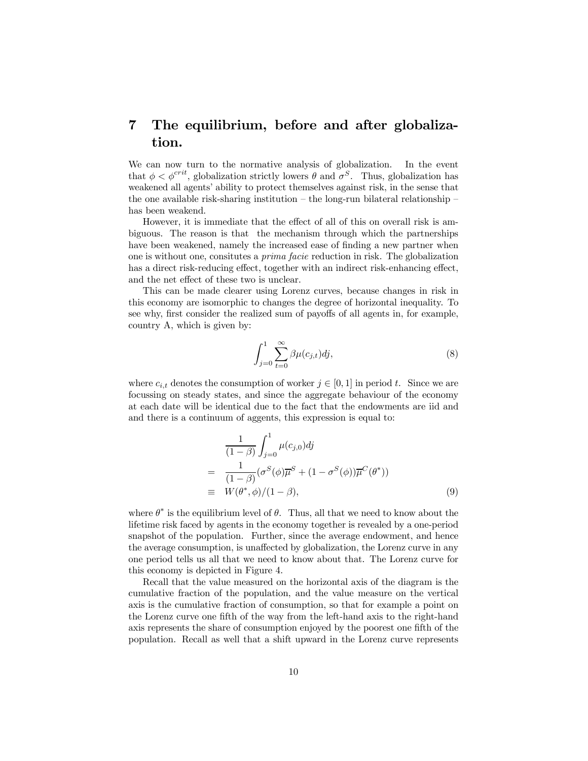### 7 The equilibrium, before and after globalization.

We can now turn to the normative analysis of globalization. In the event that  $\phi < \phi^{crit}$ , globalization strictly lowers  $\theta$  and  $\sigma^{S}$ . Thus, globalization has weakened all agents' ability to protect themselves against risk, in the sense that the one available risk-sharing institution – the long-run bilateral relationship – has been weakend.

However, it is immediate that the effect of all of this on overall risk is ambiguous. The reason is that the mechanism through which the partnerships have been weakened, namely the increased ease of finding a new partner when one is without one, consitutes a prima facie reduction in risk. The globalization has a direct risk-reducing effect, together with an indirect risk-enhancing effect, and the net effect of these two is unclear.

This can be made clearer using Lorenz curves, because changes in risk in this economy are isomorphic to changes the degree of horizontal inequality. To see why, first consider the realized sum of payoffs of all agents in, for example, country A, which is given by:

$$
\int_{j=0}^{1} \sum_{t=0}^{\infty} \beta \mu(c_{j,t}) \, dy,\tag{8}
$$

where  $c_{i,t}$  denotes the consumption of worker  $j \in [0, 1]$  in period t. Since we are focussing on steady states, and since the aggregate behaviour of the economy at each date will be identical due to the fact that the endowments are iid and and there is a continuum of aggents, this expression is equal to:

$$
\frac{1}{(1-\beta)} \int_{j=0}^{1} \mu(c_{j,0}) dj
$$
\n
$$
= \frac{1}{(1-\beta)} (\sigma^{S}(\phi)\overline{\mu}^{S} + (1-\sigma^{S}(\phi))\overline{\mu}^{C}(\theta^{*}))
$$
\n
$$
\equiv W(\theta^{*}, \phi)/(1-\beta), \qquad (9)
$$

where  $\theta^*$  is the equilibrium level of  $\theta$ . Thus, all that we need to know about the lifetime risk faced by agents in the economy together is revealed by a one-period snapshot of the population. Further, since the average endowment, and hence the average consumption, is unaffected by globalization, the Lorenz curve in any one period tells us all that we need to know about that. The Lorenz curve for this economy is depicted in Figure 4.

Recall that the value measured on the horizontal axis of the diagram is the cumulative fraction of the population, and the value measure on the vertical axis is the cumulative fraction of consumption, so that for example a point on the Lorenz curve one fifth of the way from the left-hand axis to the right-hand axis represents the share of consumption enjoyed by the poorest one fifth of the population. Recall as well that a shift upward in the Lorenz curve represents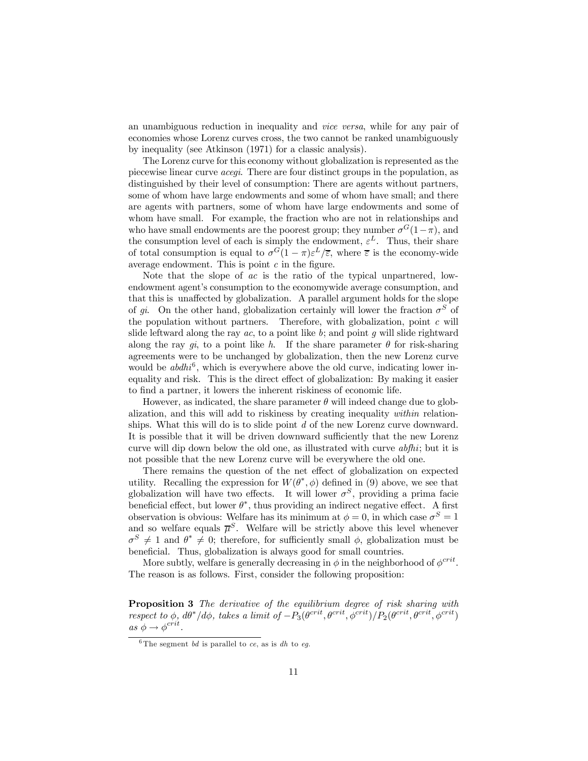an unambiguous reduction in inequality and vice versa, while for any pair of economies whose Lorenz curves cross, the two cannot be ranked unambiguously by inequality (see Atkinson (1971) for a classic analysis).

The Lorenz curve for this economy without globalization is represented as the piecewise linear curve acegi. There are four distinct groups in the population, as distinguished by their level of consumption: There are agents without partners, some of whom have large endowments and some of whom have small; and there are agents with partners, some of whom have large endowments and some of whom have small. For example, the fraction who are not in relationships and who have small endowments are the poorest group; they number  $\sigma^{G}(1-\pi)$ , and the consumption level of each is simply the endowment,  $\varepsilon^L$ . Thus, their share of total consumption is equal to  $\sigma^G(1-\pi)\varepsilon^L/\overline{\varepsilon}$ , where  $\overline{\varepsilon}$  is the economy-wide average endowment. This is point  $c$  in the figure.

Note that the slope of ac is the ratio of the typical unpartnered, lowendowment agent's consumption to the economywide average consumption, and that this is unaffected by globalization. A parallel argument holds for the slope of gi. On the other hand, globalization certainly will lower the fraction  $\sigma^S$  of the population without partners. Therefore, with globalization, point  $c$  will slide leftward along the ray  $ac$ , to a point like  $b$ ; and point  $g$  will slide rightward along the ray qi, to a point like h. If the share parameter  $\theta$  for risk-sharing agreements were to be unchanged by globalization, then the new Lorenz curve would be  $abdhi^6$ , which is everywhere above the old curve, indicating lower inequality and risk. This is the direct effect of globalization: By making it easier to find a partner, it lowers the inherent riskiness of economic life.

However, as indicated, the share parameter  $\theta$  will indeed change due to globalization, and this will add to riskiness by creating inequality within relationships. What this will do is to slide point d of the new Lorenz curve downward. It is possible that it will be driven downward sufficiently that the new Lorenz curve will dip down below the old one, as illustrated with curve abfhi; but it is not possible that the new Lorenz curve will be everywhere the old one.

There remains the question of the net effect of globalization on expected utility. Recalling the expression for  $W(\theta^*,\phi)$  defined in (9) above, we see that globalization will have two effects. It will lower  $\sigma^S$ , providing a prima facie beneficial effect, but lower  $\theta^*$ , thus providing an indirect negative effect. A first observation is obvious: Welfare has its minimum at  $\phi = 0$ , in which case  $\sigma^S = 1$ and so welfare equals  $\overline{\mu}^S$ . Welfare will be strictly above this level whenever  $\sigma^S \neq 1$  and  $\theta^* \neq 0$ ; therefore, for sufficiently small  $\phi$ , globalization must be beneficial. Thus, globalization is always good for small countries.

More subtly, welfare is generally decreasing in  $\phi$  in the neighborhood of  $\phi^{crit}$ . The reason is as follows. First, consider the following proposition:

Proposition 3 The derivative of the equilibrium degree of risk sharing with respect to  $\phi$ ,  $d\theta^*/d\phi$ , takes a limit of  $-P_3(\theta^{crit}, \theta^{crit}, \phi^{crit})/P_2(\theta^{crit}, \theta^{crit}, \phi^{crit})$ as  $\phi \rightarrow \phi^{crit}$ .

<sup>&</sup>lt;sup>6</sup>The segment *bd* is parallel to *ce*, as is *dh* to *eq*.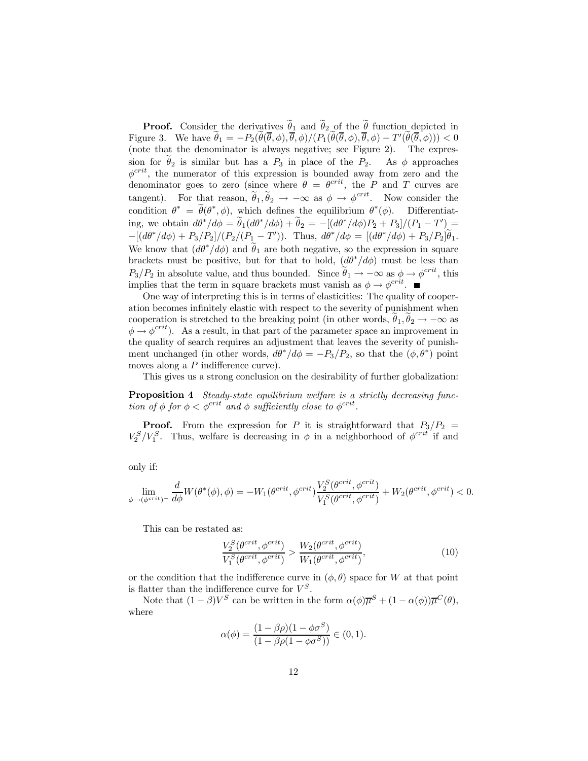**Proof.** Consider the derivatives  $\theta_1$  and  $\theta_2$  of the  $\theta$  function depicted in Figure 3. We have  $\tilde{\theta}_1 = -P_2(\tilde{\theta}(\bar{\theta}, \phi), \bar{\theta}, \phi)/(P_1(\tilde{\theta}(\bar{\theta}, \phi), \bar{\theta}, \phi) - T'(\tilde{\theta}(\bar{\theta}, \phi))) < 0$ (note that the denominator is always negative; see Figure 2). The expression for  $\theta_2$  is similar but has a  $P_3$  in place of the  $P_2$ . As  $\phi$  approaches  $\phi^{crit}$ , the numerator of this expression is bounded away from zero and the denominator goes to zero (since where  $\theta = \theta^{crit}$ , the P and T curves are tangent). For that reason,  $\tilde{\theta}_1, \tilde{\theta}_2 \rightarrow -\infty$  as  $\phi \rightarrow \phi^{crit}$ . Now consider the condition  $\theta^* = \tilde{\theta}(\theta^*, \phi)$ , which defines the equilibrium  $\theta^*(\phi)$ . Differentiating, we obtain  $d\theta^*/d\phi = \tilde{\theta}_1(d\theta^*/d\phi) + \tilde{\theta}_2 = -[(d\theta^*/d\phi)P_2 + P_3]/(P_1 - T') =$  $-[ (d\theta^* / d\phi) + P_3 / P_2 ] / (P_2 / (P_1 - T'))$ . Thus,  $d\theta^* / d\phi = [(d\theta^* / d\phi) + P_3 / P_2 ] \tilde{\theta}_1$ . We know that  $(d\theta^*/d\phi)$  and  $\tilde{\theta}_1$  are both negative, so the expression in square brackets must be positive, but for that to hold,  $(d\theta^*/d\phi)$  must be less than  $P_3/P_2$  in absolute value, and thus bounded. Since  $\widetilde{\theta}_1 \to -\infty$  as  $\phi \to \phi^{crit}$ , this implies that the term in square brackets must vanish as  $\phi \to \phi^{crit}$ .

One way of interpreting this is in terms of elasticities: The quality of cooperation becomes infinitely elastic with respect to the severity of punishment when cooperation is stretched to the breaking point (in other words,  $\theta_1, \theta_2 \rightarrow -\infty$  as  $\phi \to \phi^{crit}$ ). As a result, in that part of the parameter space an improvement in the quality of search requires an adjustment that leaves the severity of punishment unchanged (in other words,  $d\theta^*/d\phi = -P_3/P_2$ , so that the  $(\phi, \theta^*)$  point moves along a  $P$  indifference curve).

This gives us a strong conclusion on the desirability of further globalization:

Proposition 4 Steady-state equilibrium welfare is a strictly decreasing function of  $\phi$  for  $\phi < \phi^{crit}$  and  $\phi$  sufficiently close to  $\phi^{crit}$ .

**Proof.** From the expression for P it is straightforward that  $P_3/P_2$  =  $V_2^S/V_1^S$ . Thus, welfare is decreasing in  $\phi$  in a neighborhood of  $\phi^{crit}$  if and

only if:

$$
\lim_{\phi\to(\phi^{crit})^-}\frac{d}{d\phi}W(\theta^*(\phi),\phi)=-W_1(\theta^{crit},\phi^{crit})\frac{V_2^S(\theta^{crit},\phi^{crit})}{V_1^S(\theta^{crit},\phi^{crit})}+W_2(\theta^{crit},\phi^{crit})<0.
$$

This can be restated as:

$$
\frac{V_2^S(\theta^{crit}, \phi^{crit})}{V_1^S(\theta^{crit}, \phi^{crit})} > \frac{W_2(\theta^{crit}, \phi^{crit})}{W_1(\theta^{crit}, \phi^{crit})},
$$
\n(10)

or the condition that the indifference curve in  $(\phi, \theta)$  space for W at that point is flatter than the indifference curve for  $V^S$ .

Note that  $(1 - \beta)V^S$  can be written in the form  $\alpha(\phi)\overline{\mu}^S + (1 - \alpha(\phi))\overline{\mu}^C(\theta)$ , where

$$
\alpha(\phi) = \frac{(1 - \beta \rho)(1 - \phi \sigma^S)}{(1 - \beta \rho(1 - \phi \sigma^S))} \in (0, 1).
$$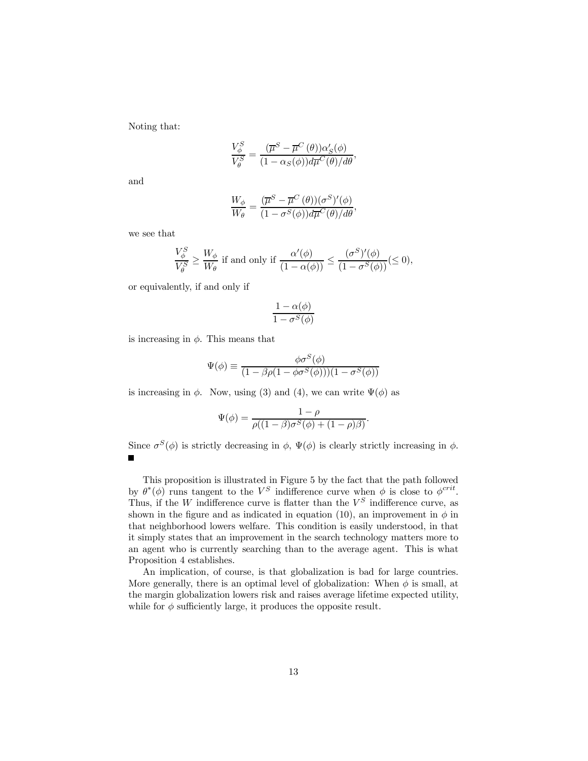Noting that:

$$
\frac{V_{\phi}^{S}}{V_{\theta}^{S}} = \frac{(\overline{\mu}^{S} - \overline{\mu}^{C}(\theta))\alpha'_{S}(\phi)}{(1 - \alpha_{S}(\phi))d\overline{\mu}^{C}(\theta)/d\theta},
$$

and

$$
\frac{W_{\phi}}{W_{\theta}} = \frac{(\overline{\mu}^S - \overline{\mu}^C(\theta))(\sigma^S)'(\phi)}{(1 - \sigma^S(\phi))d\overline{\mu}^C(\theta)/d\theta},
$$

we see that

$$
\frac{V^S_{\phi}}{V^S_{\theta}} \ge \frac{W_{\phi}}{W_{\theta}} \text{ if and only if } \frac{\alpha'(\phi)}{(1 - \alpha(\phi))} \le \frac{(\sigma^S)'(\phi)}{(1 - \sigma^S(\phi))} (\le 0),
$$

or equivalently, if and only if

$$
\frac{1-\alpha(\phi)}{1-\sigma^S(\phi)}
$$

is increasing in  $\phi$ . This means that

$$
\Psi(\phi) \equiv \frac{\phi \sigma^{S}(\phi)}{(1 - \beta \rho (1 - \phi \sigma^{S}(\phi)))(1 - \sigma^{S}(\phi))}
$$

is increasing in  $\phi$ . Now, using (3) and (4), we can write  $\Psi(\phi)$  as

$$
\Psi(\phi) = \frac{1-\rho}{\rho((1-\beta)\sigma^S(\phi) + (1-\rho)\beta)}.
$$

Since  $\sigma^{S}(\phi)$  is strictly decreasing in  $\phi$ ,  $\Psi(\phi)$  is clearly strictly increasing in  $\phi$ .  $\blacksquare$ 

This proposition is illustrated in Figure 5 by the fact that the path followed by  $\theta^*(\phi)$  runs tangent to the  $V^S$  indifference curve when  $\phi$  is close to  $\phi^{crit}$ . Thus, if the W indifference curve is flatter than the  $V^S$  indifference curve, as shown in the figure and as indicated in equation (10), an improvement in  $\phi$  in that neighborhood lowers welfare. This condition is easily understood, in that it simply states that an improvement in the search technology matters more to an agent who is currently searching than to the average agent. This is what Proposition 4 establishes.

An implication, of course, is that globalization is bad for large countries. More generally, there is an optimal level of globalization: When  $\phi$  is small, at the margin globalization lowers risk and raises average lifetime expected utility, while for  $\phi$  sufficiently large, it produces the opposite result.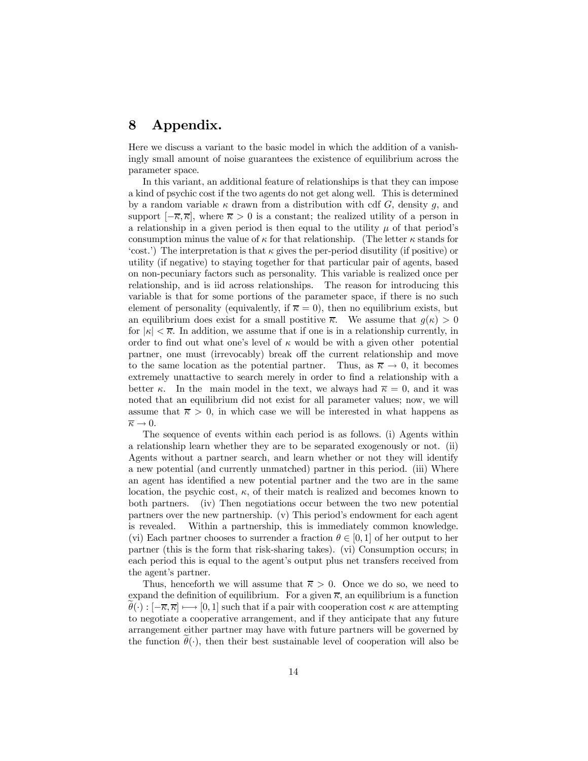#### 8 Appendix.

Here we discuss a variant to the basic model in which the addition of a vanishingly small amount of noise guarantees the existence of equilibrium across the parameter space.

In this variant, an additional feature of relationships is that they can impose a kind of psychic cost if the two agents do not get along well. This is determined by a random variable  $\kappa$  drawn from a distribution with cdf G, density g, and support  $[-\overline{\kappa}, \overline{\kappa}]$ , where  $\overline{\kappa} > 0$  is a constant; the realized utility of a person in a relationship in a given period is then equal to the utility  $\mu$  of that period's consumption minus the value of  $\kappa$  for that relationship. (The letter  $\kappa$  stands for 'cost.') The interpretation is that  $\kappa$  gives the per-period disutility (if positive) or utility (if negative) to staying together for that particular pair of agents, based on non-pecuniary factors such as personality. This variable is realized once per relationship, and is iid across relationships. The reason for introducing this variable is that for some portions of the parameter space, if there is no such element of personality (equivalently, if  $\bar{\kappa} = 0$ ), then no equilibrium exists, but an equilibrium does exist for a small positive  $\overline{\kappa}$ . We assume that  $q(\kappa) > 0$ for  $|\kappa| < \overline{\kappa}$ . In addition, we assume that if one is in a relationship currently, in order to find out what one's level of  $\kappa$  would be with a given other potential partner, one must (irrevocably) break off the current relationship and move to the same location as the potential partner. Thus, as  $\overline{\kappa} \to 0$ , it becomes extremely unattactive to search merely in order to find a relationship with a better  $\kappa$ . In the main model in the text, we always had  $\bar{\kappa} = 0$ , and it was noted that an equilibrium did not exist for all parameter values; now, we will assume that  $\overline{\kappa} > 0$ , in which case we will be interested in what happens as  $\overline{\kappa} \to 0.$ 

The sequence of events within each period is as follows. (i) Agents within a relationship learn whether they are to be separated exogenously or not. (ii) Agents without a partner search, and learn whether or not they will identify a new potential (and currently unmatched) partner in this period. (iii) Where an agent has identified a new potential partner and the two are in the same location, the psychic cost,  $\kappa$ , of their match is realized and becomes known to both partners. (iv) Then negotiations occur between the two new potential partners over the new partnership.  $(v)$  This period's endowment for each agent is revealed. Within a partnership, this is immediately common knowledge. (vi) Each partner chooses to surrender a fraction  $\theta \in [0, 1]$  of her output to her partner (this is the form that risk-sharing takes). (vi) Consumption occurs; in each period this is equal to the agent's output plus net transfers received from the agent's partner.

Thus, henceforth we will assume that  $\bar{\kappa} > 0$ . Once we do so, we need to expand the definition of equilibrium. For a given  $\bar{\kappa}$ , an equilibrium is a function  $\theta(\cdot) : [-\overline{\kappa}, \overline{\kappa}] \longmapsto [0, 1]$  such that if a pair with cooperation cost  $\kappa$  are attempting to negotiate a cooperative arrangement, and if they anticipate that any future arrangement either partner may have with future partners will be governed by the function  $\theta(\cdot)$ , then their best sustainable level of cooperation will also be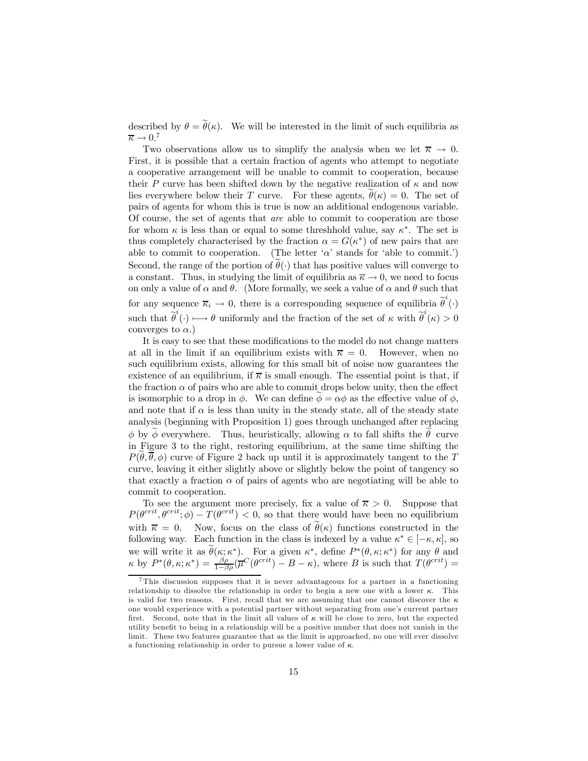described by  $\theta = \tilde{\theta}(\kappa)$ . We will be interested in the limit of such equilibria as  $\overline{\kappa} \to 0.^7$ 

Two observations allow us to simplify the analysis when we let  $\overline{\kappa} \to 0$ . First, it is possible that a certain fraction of agents who attempt to negotiate a cooperative arrangement will be unable to commit to cooperation, because their P curve has been shifted down by the negative realization of  $\kappa$  and now lies everywhere below their T curve. For these agents,  $\theta(\kappa) = 0$ . The set of pairs of agents for whom this is true is now an additional endogenous variable. Of course, the set of agents that are able to commit to cooperation are those for whom  $\kappa$  is less than or equal to some threshhold value, say  $\kappa^*$ . The set is thus completely characterised by the fraction  $\alpha = G(\kappa^*)$  of new pairs that are able to commit to cooperation. (The letter  $\alpha$  stands for 'able to commit.') Second, the range of the portion of  $\hat{\theta}(\cdot)$  that has positive values will converge to a constant. Thus, in studying the limit of equilibria as  $\overline{\kappa} \to 0$ , we need to focus on only a value of  $\alpha$  and  $\theta$ . (More formally, we seek a value of  $\alpha$  and  $\theta$  such that for any sequence  $\overline{\kappa}_i \to 0$ , there is a corresponding sequence of equilibria  $\tilde{\theta}^i(\cdot)$ such that  $\tilde{\theta}^i(\cdot) \longmapsto \theta$  uniformly and the fraction of the set of  $\kappa$  with  $\tilde{\theta}^i(\kappa) > 0$ converges to  $\alpha$ .)

It is easy to see that these modifications to the model do not change matters at all in the limit if an equilibrium exists with  $\bar{\kappa} = 0$ . However, when no such equilibrium exists, allowing for this small bit of noise now guarantees the existence of an equilibrium, if  $\overline{\kappa}$  is small enough. The essential point is that, if the fraction  $\alpha$  of pairs who are able to commit drops below unity, then the effect is isomorphic to a drop in  $\phi$ . We can define  $\phi = \alpha \phi$  as the effective value of  $\phi$ , and note that if  $\alpha$  is less than unity in the steady state, all of the steady state analysis (beginning with Proposition 1) goes through unchanged after replacing  $\phi$  by  $\phi$  everywhere. Thus, heuristically, allowing  $\alpha$  to fall shifts the  $\tilde{\theta}$  curve in Figure 3 to the right, restoring equilibrium, at the same time shifting the  $P(\theta, \overline{\theta}, \phi)$  curve of Figure 2 back up until it is approximately tangent to the T curve, leaving it either slightly above or slightly below the point of tangency so that exactly a fraction  $\alpha$  of pairs of agents who are negotiating will be able to commit to cooperation.

To see the argument more precisely, fix a value of  $\bar{\kappa} > 0$ . Suppose that  $P(\theta^{crit}, \theta^{crit}; \phi) - T(\theta^{crit}) < 0$ , so that there would have been no equilibrium with  $\bar{\kappa} = 0$ . Now, focus on the class of  $\tilde{\theta}(\kappa)$  functions constructed in the following way. Each function in the class is indexed by a value  $\kappa^* \in [-\kappa, \kappa]$ , so we will write it as  $\widetilde{\theta}(\kappa;\kappa^*)$ . For a given  $\kappa^*$ , define  $P^*(\theta,\kappa;\kappa^*)$  for any  $\theta$  and  $\kappa$  by  $P^*(\theta, \kappa; \kappa^*) = \frac{\beta \rho}{1-\beta \rho} (\overline{\mu}^C(\theta^{crit}) - B - \kappa),$  where B is such that  $T(\theta^{crit}) =$ 

<sup>7</sup> This discussion supposes that it is never advantageous for a partner in a functioning relationship to dissolve the relationship in order to begin a new one with a lower  $\kappa$ . This is valid for two reasons. First, recall that we are assuming that one cannot discover the  $\kappa$ one would experience with a potential partner without separating from one's current partner first. Second, note that in the limit all values of  $\kappa$  will be close to zero, but the expected utility benefit to being in a relationship will be a positive number that does not vanish in the limit. These two features guarantee that as the limit is approached, no one will ever dissolve a functioning relationship in order to pursue a lower value of  $\kappa$ .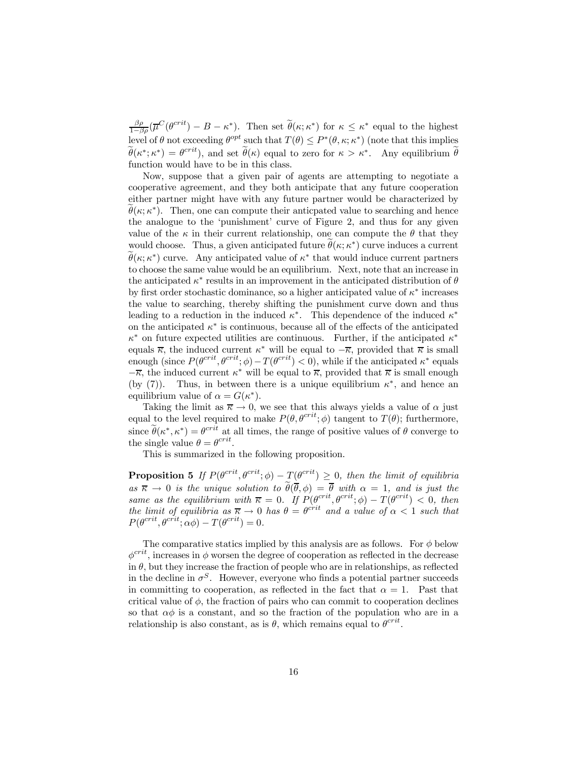$\frac{\beta \rho}{1-\beta \rho}(\overline{\mu}^C(\theta^{crit})-B-\kappa^*)$ . Then set  $\widetilde{\theta}(\kappa;\kappa^*)$  for  $\kappa \leq \kappa^*$  equal to the highest level of  $\theta$  not exceeding  $\theta^{opt}$  such that  $T(\theta) \leq P^*(\theta, \kappa; \kappa^*)$  (note that this implies  $\widetilde{\theta}(\kappa^*; \kappa^*) = \theta^{crit}$ , and set  $\widetilde{\theta}(\kappa)$  equal to zero for  $\kappa > \kappa^*$ . Any equilibrium  $\widetilde{\theta}$ function would have to be in this class.

Now, suppose that a given pair of agents are attempting to negotiate a cooperative agreement, and they both anticipate that any future cooperation either partner might have with any future partner would be characterized by  $\widetilde{\theta}(\kappa;\kappa^*)$ . Then, one can compute their anticpated value to searching and hence the analogue to the 'punishment' curve of Figure 2, and thus for any given value of the  $\kappa$  in their current relationship, one can compute the  $\theta$  that they would choose. Thus, a given anticipated future  $\tilde{\theta}(\kappa; \kappa^*)$  curve induces a current  $\widetilde{\theta}(\kappa;\kappa^*)$  curve. Any anticipated value of  $\kappa^*$  that would induce current partners to choose the same value would be an equilibrium. Next, note that an increase in the anticipated  $\kappa^*$  results in an improvement in the anticipated distribution of  $\theta$ by first order stochastic dominance, so a higher anticipated value of  $\kappa^*$  increases the value to searching, thereby shifting the punishment curve down and thus leading to a reduction in the induced  $\kappa^*$ . This dependence of the induced  $\kappa^*$ on the anticipated  $\kappa^*$  is continuous, because all of the effects of the anticipated  $\kappa^*$  on future expected utilities are continuous. Further, if the anticipated  $\kappa^*$ equals  $\overline{\kappa}$ , the induced current  $\kappa^*$  will be equal to  $-\overline{\kappa}$ , provided that  $\overline{\kappa}$  is small enough (since  $P(\theta^{crit}, \theta^{crit}; \phi) - T(\theta^{crit}) < 0$ ), while if the anticipated  $\kappa^*$  equals  $-\overline{\kappa}$ , the induced current  $\kappa^*$  will be equal to  $\overline{\kappa}$ , provided that  $\overline{\kappa}$  is small enough (by (7)). Thus, in between there is a unique equilibrium  $\kappa^*$ , and hence an equilibrium value of  $\alpha = G(\kappa^*)$ .

Taking the limit as  $\bar{\kappa} \to 0$ , we see that this always yields a value of  $\alpha$  just equal to the level required to make  $P(\theta, \theta^{crit}; \phi)$  tangent to  $T(\theta)$ ; furthermore, since  $\tilde{\theta}(\kappa^*, \kappa^*) = \theta^{crit}$  at all times, the range of positive values of  $\theta$  converge to the single value  $\theta = \theta^{crit}$ .

This is summarized in the following proposition.

**Proposition 5** If  $P(\theta^{crit}, \theta^{crit}; \phi) - T(\theta^{crit}) \geq 0$ , then the limit of equilibria as  $\overline{\kappa} \to 0$  is the unique solution to  $\widetilde{\theta}(\overline{\theta}, \phi) = \overline{\theta}$  with  $\alpha = 1$ , and is just the same as the equilibrium with  $\bar{\kappa} = 0$ . If  $P(\theta^{crit}, \theta^{crit}; \phi) - T(\theta^{crit}) < 0$ , then the limit of equilibria as  $\overline{\kappa} \to 0$  has  $\theta = \theta^{crit}$  and a value of  $\alpha < 1$  such that  $P(\theta^{crit}, \theta^{crit}; \alpha \phi) - T(\theta^{crit}) = 0.$ 

The comparative statics implied by this analysis are as follows. For  $\phi$  below  $\phi^{crit}$ , increases in  $\phi$  worsen the degree of cooperation as reflected in the decrease in  $\theta$ , but they increase the fraction of people who are in relationships, as reflected in the decline in  $\sigma^S$ . However, everyone who finds a potential partner succeeds in committing to cooperation, as reflected in the fact that  $\alpha = 1$ . Past that critical value of  $\phi$ , the fraction of pairs who can commit to cooperation declines so that  $\alpha\phi$  is a constant, and so the fraction of the population who are in a relationship is also constant, as is  $\theta$ , which remains equal to  $\theta^{crit}$ .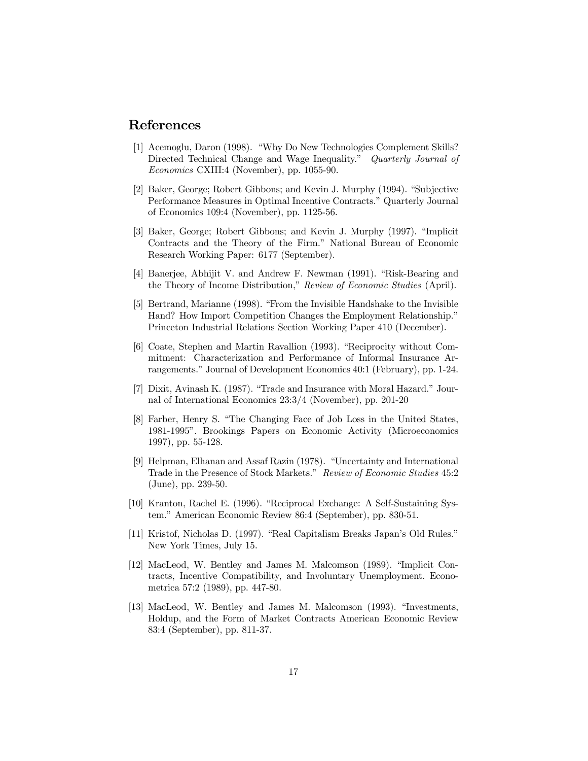#### References

- [1] Acemoglu, Daron (1998). "Why Do New Technologies Complement Skills? Directed Technical Change and Wage Inequality.<sup>n</sup> Quarterly Journal of Economics CXIII:4 (November), pp. 1055-90.
- [2] Baker, George; Robert Gibbons; and Kevin J. Murphy (1994). "Subjective Performance Measures in Optimal Incentive Contracts." Quarterly Journal of Economics 109:4 (November), pp. 1125-56.
- [3] Baker, George; Robert Gibbons; and Kevin J. Murphy (1997). "Implicit Contracts and the Theory of the Firm." National Bureau of Economic Research Working Paper: 6177 (September).
- [4] Banerjee, Abhijit V. and Andrew F. Newman (1991). "Risk-Bearing and the Theory of Income Distribution," Review of Economic Studies (April).
- [5] Bertrand, Marianne (1998). "From the Invisible Handshake to the Invisible Hand? How Import Competition Changes the Employment Relationship." Princeton Industrial Relations Section Working Paper 410 (December).
- [6] Coate, Stephen and Martin Ravallion (1993). "Reciprocity without Commitment: Characterization and Performance of Informal Insurance Arrangements." Journal of Development Economics 40:1 (February), pp. 1-24.
- [7] Dixit, Avinash K. (1987). "Trade and Insurance with Moral Hazard." Journal of International Economics 23:3/4 (November), pp. 201-20
- [8] Farber, Henry S. "The Changing Face of Job Loss in the United States, 1981-1995î. Brookings Papers on Economic Activity (Microeconomics 1997), pp. 55-128.
- [9] Helpman, Elhanan and Assaf Razin  $(1978)$ . "Uncertainty and International Trade in the Presence of Stock Markets." Review of Economic Studies 45:2 (June), pp. 239-50.
- [10] Kranton, Rachel E. (1996). "Reciprocal Exchange: A Self-Sustaining System." American Economic Review 86:4 (September), pp. 830-51.
- [11] Kristof, Nicholas D. (1997). "Real Capitalism Breaks Japan's Old Rules." New York Times, July 15.
- [12] MacLeod, W. Bentley and James M. Malcomson (1989). "Implicit Contracts, Incentive Compatibility, and Involuntary Unemployment. Econometrica 57:2 (1989), pp. 447-80.
- [13] MacLeod, W. Bentley and James M. Malcomson (1993). "Investments, Holdup, and the Form of Market Contracts American Economic Review 83:4 (September), pp. 811-37.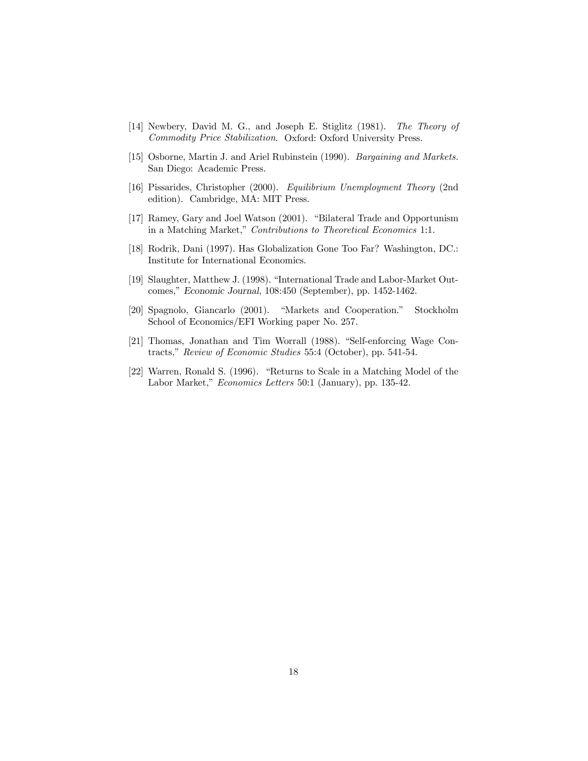- [14] Newbery, David M. G., and Joseph E. Stiglitz (1981). The Theory of Commodity Price Stabilization. Oxford: Oxford University Press.
- [15] Osborne, Martin J. and Ariel Rubinstein (1990). *Bargaining and Markets.* San Diego: Academic Press.
- [16] Pissarides, Christopher (2000). Equilibrium Unemployment Theory (2nd edition). Cambridge, MA: MIT Press.
- [17] Ramey, Gary and Joel Watson (2001). "Bilateral Trade and Opportunism in a Matching Market," Contributions to Theoretical Economics 1:1.
- [18] Rodrik, Dani (1997). Has Globalization Gone Too Far? Washington, DC.: Institute for International Economics.
- [19] Slaughter, Matthew J. (1998). "International Trade and Labor-Market Outcomes," Economic Journal, 108:450 (September), pp. 1452-1462.
- [20] Spagnolo, Giancarlo (2001). "Markets and Cooperation." Stockholm School of Economics/EFI Working paper No. 257.
- [21] Thomas, Jonathan and Tim Worrall (1988). "Self-enforcing Wage Contracts," Review of Economic Studies 55:4 (October), pp. 541-54.
- [22] Warren, Ronald S. (1996). "Returns to Scale in a Matching Model of the Labor Market," Economics Letters 50:1 (January), pp. 135-42.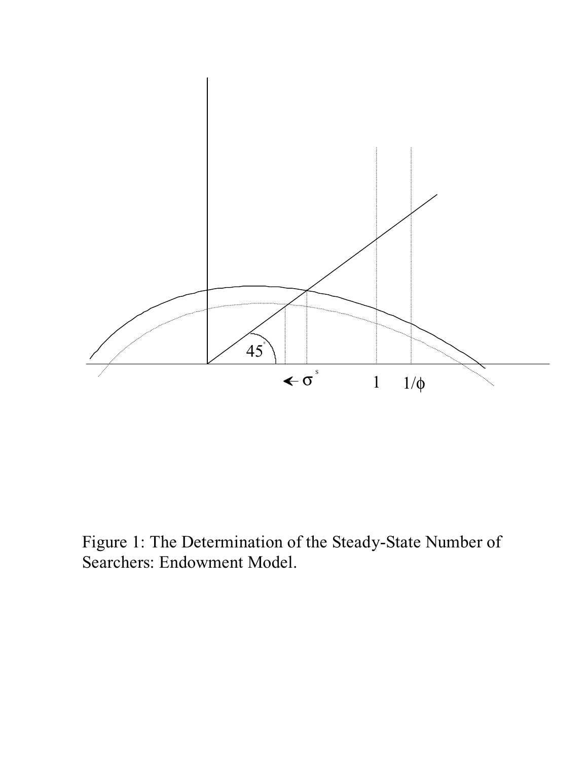

Figure 1: The Determination of the Steady-State Number of Searchers: Endowment Model.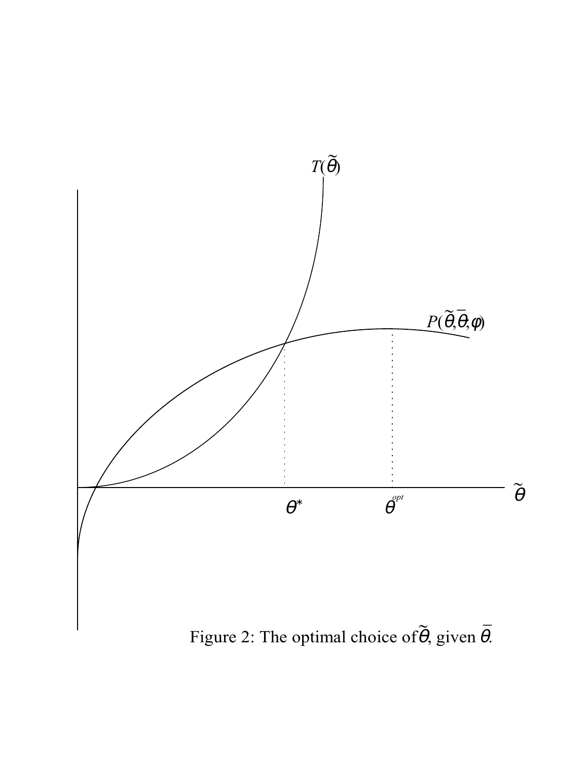

Figure 2: The optimal choice of  $\theta$ , given  $\theta$ .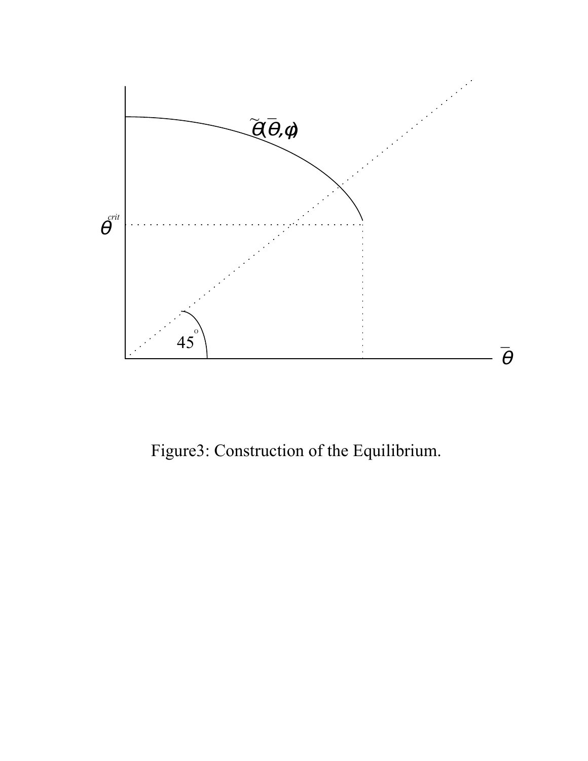

Figure3: Construction of the Equilibrium.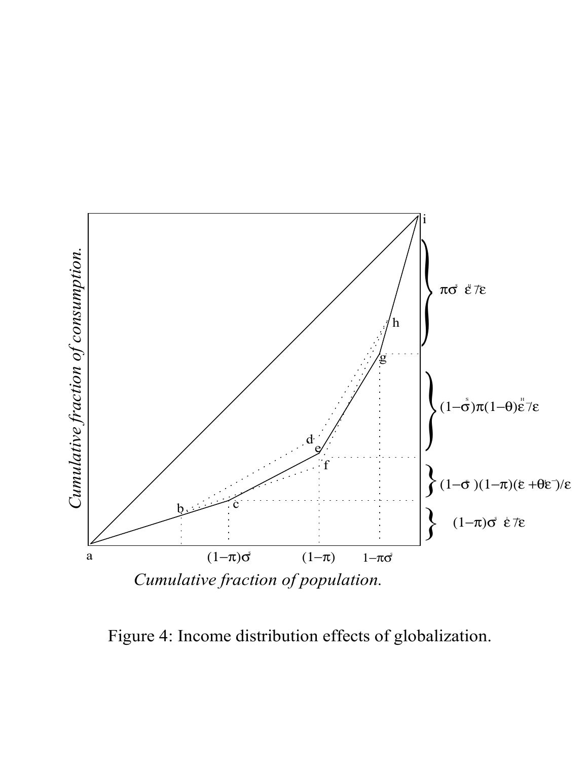

Figure 4: Income distribution effects of globalization.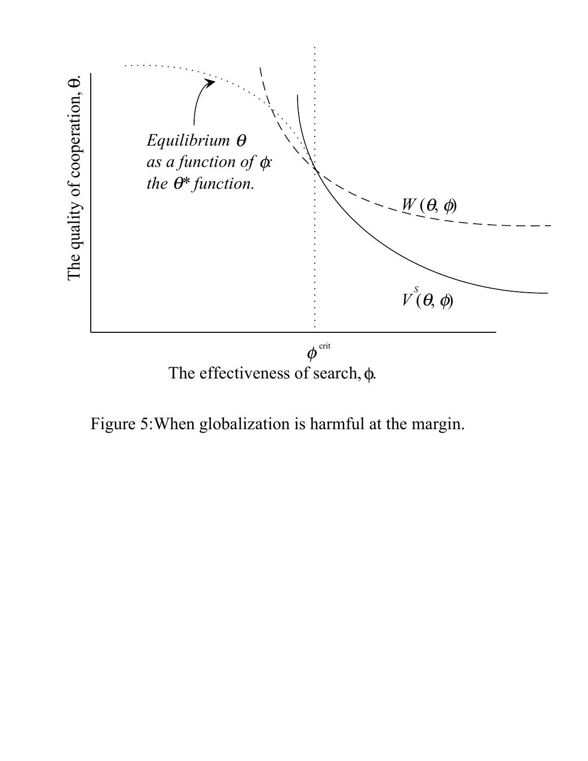

Figure 5:When globalization is harmful at the margin.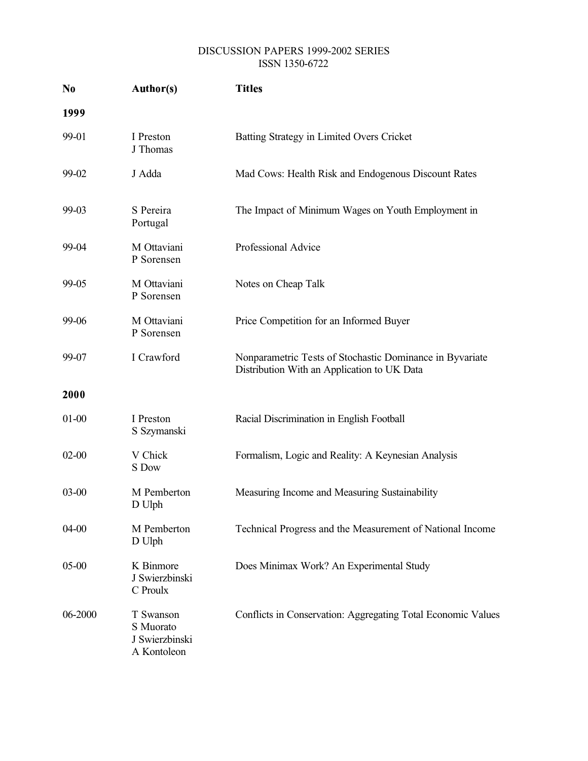#### DISCUSSION PAPERS 1999-2002 SERIES ISSN 1350-6722

| N <sub>0</sub> | Author(s)                                               | <b>Titles</b>                                                                                           |
|----------------|---------------------------------------------------------|---------------------------------------------------------------------------------------------------------|
| 1999           |                                                         |                                                                                                         |
| 99-01          | I Preston<br>J Thomas                                   | Batting Strategy in Limited Overs Cricket                                                               |
| 99-02          | J Adda                                                  | Mad Cows: Health Risk and Endogenous Discount Rates                                                     |
| 99-03          | S Pereira<br>Portugal                                   | The Impact of Minimum Wages on Youth Employment in                                                      |
| 99-04          | M Ottaviani<br>P Sorensen                               | Professional Advice                                                                                     |
| 99-05          | M Ottaviani<br>P Sorensen                               | Notes on Cheap Talk                                                                                     |
| 99-06          | M Ottaviani<br>P Sorensen                               | Price Competition for an Informed Buyer                                                                 |
| 99-07          | I Crawford                                              | Nonparametric Tests of Stochastic Dominance in Byvariate<br>Distribution With an Application to UK Data |
| 2000           |                                                         |                                                                                                         |
| $01 - 00$      | I Preston<br>S Szymanski                                | Racial Discrimination in English Football                                                               |
| $02 - 00$      | V Chick<br>S Dow                                        | Formalism, Logic and Reality: A Keynesian Analysis                                                      |
| $03 - 00$      | M Pemberton<br>D Ulph                                   | Measuring Income and Measuring Sustainability                                                           |
| $04 - 00$      | M Pemberton<br>D Ulph                                   | Technical Progress and the Measurement of National Income                                               |
| $05 - 00$      | K Binmore<br>J Swierzbinski<br>C Proulx                 | Does Minimax Work? An Experimental Study                                                                |
| 06-2000        | T Swanson<br>S Muorato<br>J Swierzbinski<br>A Kontoleon | Conflicts in Conservation: Aggregating Total Economic Values                                            |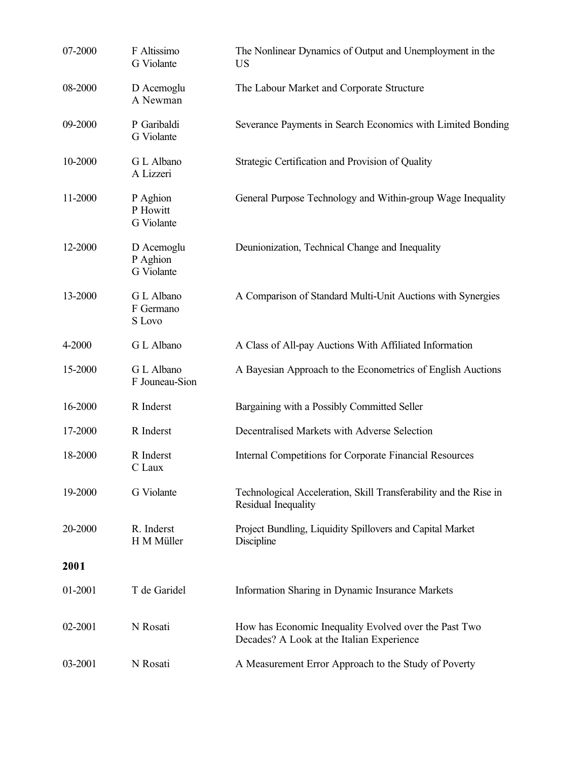| 07-2000 | F Altissimo<br>G Violante                   | The Nonlinear Dynamics of Output and Unemployment in the<br><b>US</b>                              |
|---------|---------------------------------------------|----------------------------------------------------------------------------------------------------|
| 08-2000 | D Acemoglu<br>A Newman                      | The Labour Market and Corporate Structure                                                          |
| 09-2000 | P Garibaldi<br>G Violante                   | Severance Payments in Search Economics with Limited Bonding                                        |
| 10-2000 | G L Albano<br>A Lizzeri                     | Strategic Certification and Provision of Quality                                                   |
| 11-2000 | P Aghion<br>P Howitt<br>G Violante          | General Purpose Technology and Within-group Wage Inequality                                        |
| 12-2000 | D Acemoglu<br>P Aghion<br><b>G</b> Violante | Deunionization, Technical Change and Inequality                                                    |
| 13-2000 | G L Albano<br>F Germano<br>S Lovo           | A Comparison of Standard Multi-Unit Auctions with Synergies                                        |
| 4-2000  | G L Albano                                  | A Class of All-pay Auctions With Affiliated Information                                            |
| 15-2000 | G L Albano<br>F Jouneau-Sion                | A Bayesian Approach to the Econometrics of English Auctions                                        |
| 16-2000 | R Inderst                                   | Bargaining with a Possibly Committed Seller                                                        |
| 17-2000 | R Inderst                                   | Decentralised Markets with Adverse Selection                                                       |
| 18-2000 | R Inderst<br>C Laux                         | Internal Competitions for Corporate Financial Resources                                            |
| 19-2000 | <b>G</b> Violante                           | Technological Acceleration, Skill Transferability and the Rise in<br>Residual Inequality           |
| 20-2000 | R. Inderst<br>H M Müller                    | Project Bundling, Liquidity Spillovers and Capital Market<br>Discipline                            |
| 2001    |                                             |                                                                                                    |
| 01-2001 | T de Garidel                                | Information Sharing in Dynamic Insurance Markets                                                   |
| 02-2001 | N Rosati                                    | How has Economic Inequality Evolved over the Past Two<br>Decades? A Look at the Italian Experience |
| 03-2001 | N Rosati                                    | A Measurement Error Approach to the Study of Poverty                                               |